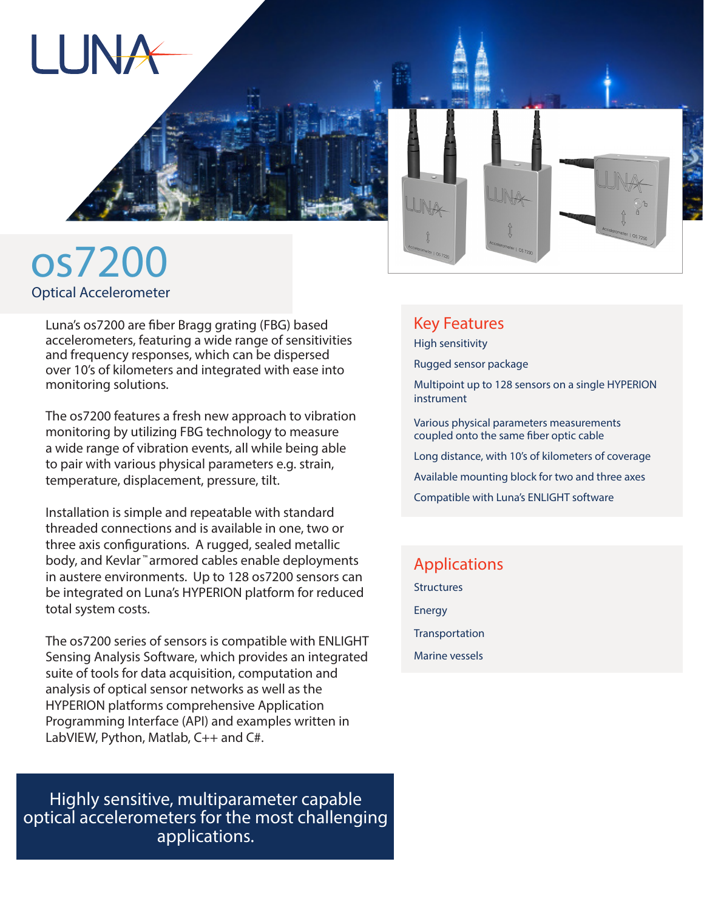



Luna's os7200 are fiber Bragg grating (FBG) based accelerometers, featuring a wide range of sensitivities and frequency responses, which can be dispersed over 10's of kilometers and integrated with ease into monitoring solutions.

The os7200 features a fresh new approach to vibration monitoring by utilizing FBG technology to measure a wide range of vibration events, all while being able to pair with various physical parameters e.g. strain, temperature, displacement, pressure, tilt.

Installation is simple and repeatable with standard threaded connections and is available in one, two or three axis configurations. A rugged, sealed metallic body, and Kevlar ™ armored cables enable deployments in austere environments. Up to 128 os7200 sensors can be integrated on Luna's HYPERION platform for reduced total system costs.

The os7200 series of sensors is compatible with ENLIGHT Sensing Analysis Software, which provides an integrated suite of tools for data acquisition, computation and analysis of optical sensor networks as well as the HYPERION platforms comprehensive Application Programming Interface (API) and examples written in LabVIEW, Python, Matlab, C++ and C#.

Highly sensitive, multiparameter capable optical accelerometers for the most challenging applications.



## Key Features

High sensitivity

Rugged sensor package

Multipoint up to 128 sensors on a single HYPERION instrument

Various physical parameters measurements coupled onto the same fiber optic cable

Long distance, with 10's of kilometers of coverage

Available mounting block for two and three axes

Compatible with Luna's ENLIGHT software

Applications **Structures** Energy **Transportation** Marine vessels